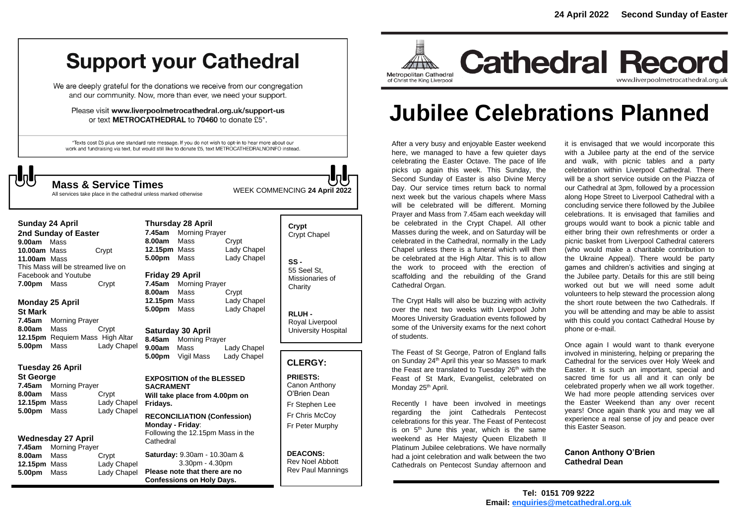# **Support your Cathedral**

We are deeply grateful for the donations we receive from our congregation and our community. Now, more than ever, we need your support.

Please visit www.liverpoolmetrocathedral.org.uk/support-us or text METROCATHEDRAL to 70460 to donate £5\*.

\*Texts cost £5 plus one standard rate message. If you do not wish to opt-in to hear more about our work and fundraising via text, but would still like to donate £5, text METROCATHEDRALNOINFO instead.



WEEK COMMENCING **<sup>24</sup> April <sup>2022</sup> Mass & Service Times**

All services take place in the cathedral unless marked otherwise

**2nd Sunday of Easter 9.00am** Mass **10.00am** MassCrypt **11.00am** Mass This Mass will be streamed live on Facebook and Youtube **7.00pm** Mass Crypt

#### **Monday 25 April St Mark**

**Sunday 24 April** 

**7.45am** Morning Prayer **8.00am** Mass Crypt **12.15pm** Requiem Mass High Altar **5.00pm** Mass Lady Chapel

#### **Tuesday 26 April**

#### **St George**

**7.45am** Morning Prayer **8.00am** Mass Crypt **12.15pm** Mass Lady Chapel **5.00pm** Mass Lady Chapel

#### **Wednesday 27 April**

| 7.45am       | <b>Morning Prayer</b> |             |
|--------------|-----------------------|-------------|
| 8.00am       | Mass                  | Crypt       |
| 12.15pm Mass |                       | Lady Chapel |
| 5.00pm Mass  |                       | Lady Chapel |

**Thursday 28 April 7.45am** Morning Prayer **8.00am** Mass Crypt **12.15pm** Mass Lady Chapel **5.00pm** Mass Lady Chapel

#### **Friday 29 April**

**7.45am** Morning Prayer **8.00am** Mass Crypt **12.15pm** Mass Lady Chapel **5.00pm** Mass Lady Chapel

**Saturday 30 April 8.45am** Morning Prayer

**9.00am** Mass Lady Chapel **5.00pm** Vigil Mass Lady Chapel

#### **EXPOSITION of the BLESSED SACRAMENT Will take place from 4.00pm on Fridays. RECONCILIATION (Confession) Monday - Friday**: Following the 12.15pm Mass in the **Cathedral**

**Saturday:** 9.30am - 10.30am & 3.30pm - 4.30pm **Please note that there are no Confessions on Holy Days.**

## **Crypt**  Crypt Chapel **SS -** 55 Seel St,

Missionaries of **Charity** 

**RLUH -** Royal Liverpool

University Hospital

### **CLERGY:**

**PRIESTS:** Canon Anthony O'Brien *Dean* Fr Stephen Lee Fr Chris McCoy Fr Peter Murphy

**DEACONS:** Rev Noel Abbott Rev Paul Mannings



# **Jubilee Celebrations Planned**

After a very busy and enjoyable Easter weekend here, we managed to have a few quieter days celebrating the Easter Octave. The pace of life picks up again this week. This Sunday, the Second Sunday of Easter is also Divine Mercy Day. Our service times return back to normal next week but the various chapels where Mass will be celebrated will be different. Morning Prayer and Mass from 7.45am each weekday will be celebrated in the Crypt Chapel. All other Masses during the week, and on Saturday will be celebrated in the Cathedral, normally in the Lady Chapel unless there is a funeral which will then be celebrated at the High Altar. This is to allow the work to proceed with the erection of scaffolding and the rebuilding of the Grand Cathedral Organ.

The Crypt Halls will also be buzzing with activity over the next two weeks with Liverpool John Moores University Graduation events followed by some of the University exams for the next cohort of students.

The Feast of St George, Patron of England falls on Sunday 24<sup>th</sup> April this year so Masses to mark the Feast are translated to Tuesday 26<sup>th</sup> with the Feast of St Mark, Evangelist, celebrated on Monday 25<sup>th</sup> April.

Recently I have been involved in meetings regarding the joint Cathedrals Pentecost celebrations for this year. The Feast of Pentecost is on  $5<sup>th</sup>$  June this year, which is the same weekend as Her Majesty Queen Elizabeth II Platinum Jubilee celebrations. We have normally had a joint celebration and walk between the two Cathedrals on Pentecost Sunday afternoon and

it is envisaged that we would incorporate this with a Jubilee party at the end of the service and walk, with picnic tables and a party celebration within Liverpool Cathedral. There will be a short service outside on the Piazza of our Cathedral at 3pm, followed by a procession along Hope Street to Liverpool Cathedral with a concluding service there followed by the Jubilee celebrations. It is envisaged that families and groups would want to book a picnic table and either bring their own refreshments or order a picnic basket from Liverpool Cathedral caterers (who would make a charitable contribution to the Ukraine Appeal). There would be party games and children's activities and singing at the Jubilee party. Details for this are still being worked out but we will need some adult volunteers to help steward the procession along the short route between the two Cathedrals. If you will be attending and may be able to assist with this could you contact Cathedral House by phone or e-mail.

Once again I would want to thank everyone involved in ministering, helping or preparing the Cathedral for the services over Holy Week and Easter. It is such an important, special and sacred time for us all and it can only be celebrated properly when we all work together. We had more people attending services over the Easter Weekend than any over recent years! Once again thank you and may we all experience a real sense of joy and peace over this Easter Season.

**Canon Anthony O'Brien Cathedral Dean**